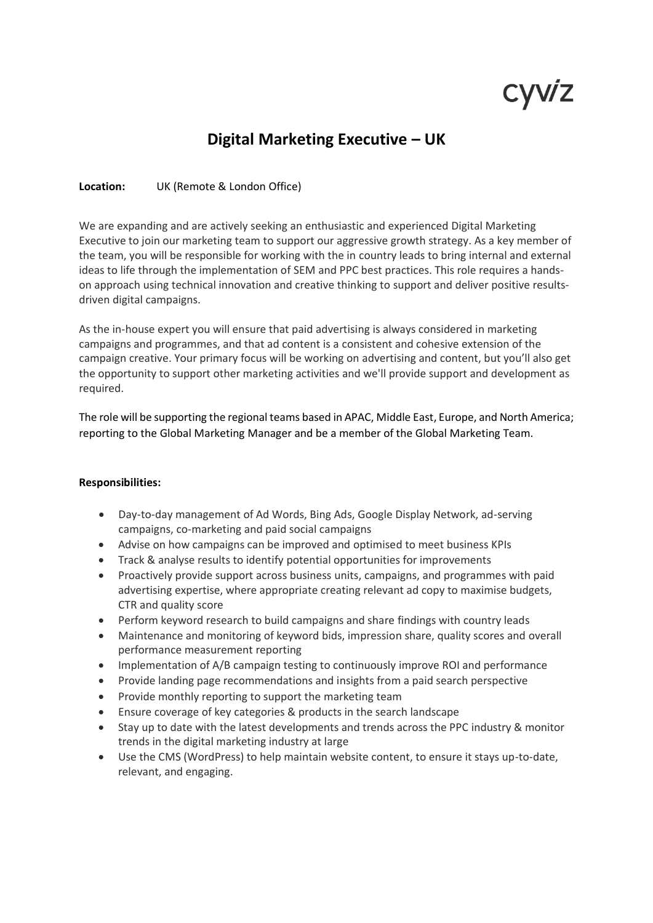# cyviz

# **Digital Marketing Executive – UK**

## **Location:** UK (Remote & London Office)

We are expanding and are actively seeking an enthusiastic and experienced Digital Marketing Executive to join our marketing team to support our aggressive growth strategy. As a key member of the team, you will be responsible for working with the in country leads to bring internal and external ideas to life through the implementation of SEM and PPC best practices. This role requires a handson approach using technical innovation and creative thinking to support and deliver positive resultsdriven digital campaigns.

As the in-house expert you will ensure that paid advertising is always considered in marketing campaigns and programmes, and that ad content is a consistent and cohesive extension of the campaign creative. Your primary focus will be working on advertising and content, but you'll also get the opportunity to support other marketing activities and we'll provide support and development as required.

The role will be supporting the regional teams based in APAC, Middle East, Europe, and North America; reporting to the Global Marketing Manager and be a member of the Global Marketing Team.

#### **Responsibilities:**

- Day-to-day management of Ad Words, Bing Ads, Google Display Network, ad-serving campaigns, co-marketing and paid social campaigns
- Advise on how campaigns can be improved and optimised to meet business KPIs
- Track & analyse results to identify potential opportunities for improvements
- Proactively provide support across business units, campaigns, and programmes with paid advertising expertise, where appropriate creating relevant ad copy to maximise budgets, CTR and quality score
- Perform keyword research to build campaigns and share findings with country leads
- Maintenance and monitoring of keyword bids, impression share, quality scores and overall performance measurement reporting
- Implementation of A/B campaign testing to continuously improve ROI and performance
- Provide landing page recommendations and insights from a paid search perspective
- Provide monthly reporting to support the marketing team
- Ensure coverage of key categories & products in the search landscape
- Stay up to date with the latest developments and trends across the PPC industry & monitor trends in the digital marketing industry at large
- Use the CMS (WordPress) to help maintain website content, to ensure it stays up-to-date, relevant, and engaging.